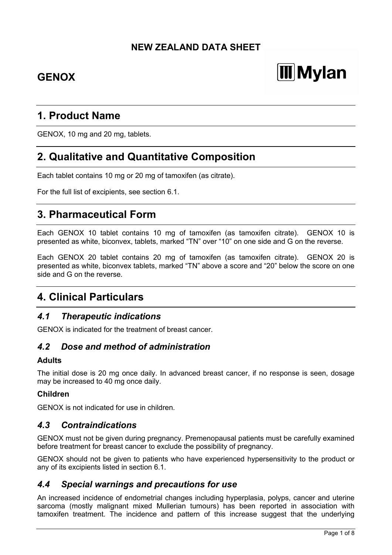# **NEW ZEALAND DATA SHEET**

# **GENOX**

# **Mylan**

# **1. Product Name**

GENOX, 10 mg and 20 mg, tablets.

# **2. Qualitative and Quantitative Composition**

Each tablet contains 10 mg or 20 mg of tamoxifen (as citrate).

For the full list of excipients, see section 6.1.

# **3. Pharmaceutical Form**

Each GENOX 10 tablet contains 10 mg of tamoxifen (as tamoxifen citrate). GENOX 10 is presented as white, biconvex, tablets, marked "TN" over "10" on one side and G on the reverse.

Each GENOX 20 tablet contains 20 mg of tamoxifen (as tamoxifen citrate). GENOX 20 is presented as white, biconvex tablets, marked "TN" above a score and "20" below the score on one side and G on the reverse.

# **4. Clinical Particulars**

# *4.1 Therapeutic indications*

GENOX is indicated for the treatment of breast cancer.

# *4.2 Dose and method of administration*

### **Adults**

The initial dose is 20 mg once daily. In advanced breast cancer, if no response is seen, dosage may be increased to 40 mg once daily.

### **Children**

GENOX is not indicated for use in children.

## *4.3 Contraindications*

GENOX must not be given during pregnancy. Premenopausal patients must be carefully examined before treatment for breast cancer to exclude the possibility of pregnancy.

GENOX should not be given to patients who have experienced hypersensitivity to the product or any of its excipients listed in section 6.1.

## *4.4 Special warnings and precautions for use*

An increased incidence of endometrial changes including hyperplasia, polyps, cancer and uterine sarcoma (mostly malignant mixed Mullerian tumours) has been reported in association with tamoxifen treatment. The incidence and pattern of this increase suggest that the underlying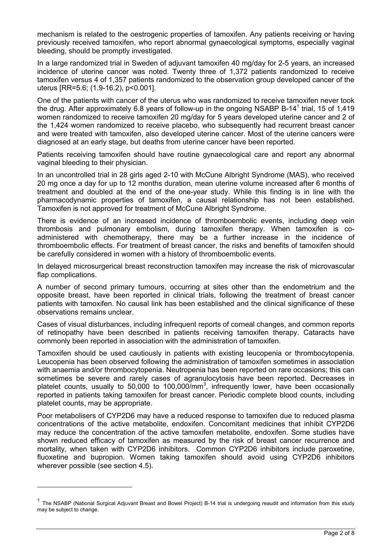mechanism is related to the oestrogenic properties of tamoxifen. Any patients receiving or having previously received tamoxifen, who report abnormal gynaecological symptoms, especially vaginal bleeding, should be promptly investigated.

In a large randomized trial in Sweden of adjuvant tamoxifen 40 mg/day for 2-5 years, an increased incidence of uterine cancer was noted. Twenty three of 1,372 patients randomized to receive tamoxifen versus 4 of 1,357 patients randomized to the observation group developed cancer of the uterus [RR=5.6; (1.9-16.2), p<0.001].

One of the patients with cancer of the uterus who was randomized to receive tamoxifen never took the drug. After approximately 6.8 years of follow-up in the ongoing NSABP B-1[4](#page-1-0)<sup>1</sup> trial, 15 of 1,419 women randomized to receive tamoxifen 20 mg/day for 5 years developed uterine cancer and 2 of the 1,424 women randomized to receive placebo, who subsequently had recurrent breast cancer and were treated with tamoxifen, also developed uterine cancer. Most of the uterine cancers were diagnosed at an early stage, but deaths from uterine cancer have been reported.

Patients receiving tamoxifen should have routine gynaecological care and report any abnormal vaginal bleeding to their physician.

In an uncontrolled trial in 28 girls aged 2-10 with McCune Albright Syndrome (MAS), who received 20 mg once a day for up to 12 months duration, mean uterine volume increased after 6 months of treatment and doubled at the end of the one-year study. While this finding is in line with the pharmacodynamic properties of tamoxifen, a causal relationship has not been established. Tamoxifen is not approved for treatment of McCune Albright Syndrome.

There is evidence of an increased incidence of thromboembolic events, including deep vein thrombosis and pulmonary embolism, during tamoxifen therapy. When tamoxifen is coadministered with chemotherapy, there may be a further increase in the incidence of thromboembolic effects. For treatment of breast cancer, the risks and benefits of tamoxifen should be carefully considered in women with a history of thromboembolic events.

In delayed microsurgerical breast reconstruction tamoxifen may increase the risk of microvascular flap complications.

A number of second primary tumours, occurring at sites other than the endometrium and the opposite breast, have been reported in clinical trials, following the treatment of breast cancer patients with tamoxifen. No causal link has been established and the clinical significance of these observations remains unclear.

Cases of visual disturbances, including infrequent reports of corneal changes, and common reports of retinopathy have been described in patients receiving tamoxifen therapy. Cataracts have commonly been reported in association with the administration of tamoxifen.

Tamoxifen should be used cautiously in patients with existing leucopenia or thrombocytopenia. Leucopenia has been observed following the administration of tamoxifen sometimes in association with anaemia and/or thrombocytopenia. Neutropenia has been reported on rare occasions; this can sometimes be severe and rarely cases of agranulocytosis have been reported. Decreases in platelet counts, usually to 50,000 to 100,000/mm<sup>3</sup>, infrequently lower, have been occasionally reported in patients taking tamoxifen for breast cancer. Periodic complete blood counts, including platelet counts, may be appropriate.

Poor metabolisers of CYP2D6 may have a reduced response to tamoxifen due to reduced plasma concentrations of the active metabolite, endoxifen. Concomitant medicines that inhibit CYP2D6 may reduce the concentration of the active tamoxifen metabolite, endoxifen. Some studies have shown reduced efficacy of tamoxifen as measured by the risk of breast cancer recurrence and mortality, when taken with CYP2D6 inhibitors. Common CYP2D6 inhibitors include paroxetine, fluoxetine and bupropion. Women taking tamoxifen should avoid using CYP2D6 inhibitors wherever possible (see section 4.5).

-

<span id="page-1-0"></span><sup>&</sup>lt;sup>1</sup> The NSABP (National Surgical Adjuvant Breast and Bowel Project) B-14 trial is undergoing reaudit and information from this study may be subject to change.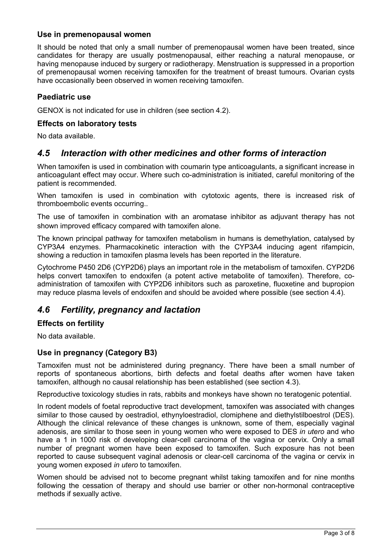### **Use in premenopausal women**

It should be noted that only a small number of premenopausal women have been treated, since candidates for therapy are usually postmenopausal, either reaching a natural menopause, or having menopause induced by surgery or radiotherapy. Menstruation is suppressed in a proportion of premenopausal women receiving tamoxifen for the treatment of breast tumours. Ovarian cysts have occasionally been observed in women receiving tamoxifen.

#### **Paediatric use**

GENOX is not indicated for use in children (see section 4.2).

#### **Effects on laboratory tests**

No data available.

## *4.5 Interaction with other medicines and other forms of interaction*

When tamoxifen is used in combination with coumarin type anticoagulants, a significant increase in anticoagulant effect may occur. Where such co-administration is initiated, careful monitoring of the patient is recommended.

When tamoxifen is used in combination with cytotoxic agents, there is increased risk of thromboembolic events occurring..

The use of tamoxifen in combination with an aromatase inhibitor as adjuvant therapy has not shown improved efficacy compared with tamoxifen alone.

The known principal pathway for tamoxifen metabolism in humans is demethylation, catalysed by CYP3A4 enzymes. Pharmacokinetic interaction with the CYP3A4 inducing agent rifampicin, showing a reduction in tamoxifen plasma levels has been reported in the literature.

Cytochrome P450 2D6 (CYP2D6) plays an important role in the metabolism of tamoxifen. CYP2D6 helps convert tamoxifen to endoxifen (a potent active metabolite of tamoxifen). Therefore, coadministration of tamoxifen with CYP2D6 inhibitors such as paroxetine, fluoxetine and bupropion may reduce plasma levels of endoxifen and should be avoided where possible (see section 4.4).

## *4.6 Fertility, pregnancy and lactation*

#### **Effects on fertility**

No data available.

### **Use in pregnancy (Category B3)**

Tamoxifen must not be administered during pregnancy. There have been a small number of reports of spontaneous abortions, birth defects and foetal deaths after women have taken tamoxifen, although no causal relationship has been established (see section 4.3).

Reproductive toxicology studies in rats, rabbits and monkeys have shown no teratogenic potential.

In rodent models of foetal reproductive tract development, tamoxifen was associated with changes similar to those caused by oestradiol, ethynyloestradiol, clomiphene and diethylstilboestrol (DES). Although the clinical relevance of these changes is unknown, some of them, especially vaginal adenosis, are similar to those seen in young women who were exposed to DES *in utero* and who have a 1 in 1000 risk of developing clear-cell carcinoma of the vagina or cervix. Only a small number of pregnant women have been exposed to tamoxifen. Such exposure has not been reported to cause subsequent vaginal adenosis or clear-cell carcinoma of the vagina or cervix in young women exposed *in utero* to tamoxifen.

Women should be advised not to become pregnant whilst taking tamoxifen and for nine months following the cessation of therapy and should use barrier or other non-hormonal contraceptive methods if sexually active.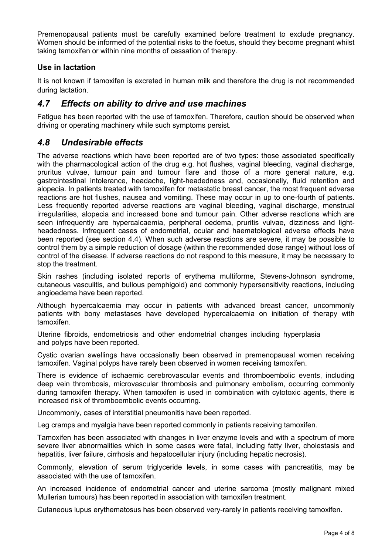Premenopausal patients must be carefully examined before treatment to exclude pregnancy. Women should be informed of the potential risks to the foetus, should they become pregnant whilst taking tamoxifen or within nine months of cessation of therapy.

## **Use in lactation**

It is not known if tamoxifen is excreted in human milk and therefore the drug is not recommended during lactation.

## *4.7 Effects on ability to drive and use machines*

Fatigue has been reported with the use of tamoxifen. Therefore, caution should be observed when driving or operating machinery while such symptoms persist.

## *4.8 Undesirable effects*

The adverse reactions which have been reported are of two types: those associated specifically with the pharmacological action of the drug e.g. hot flushes, vaginal bleeding, vaginal discharge, pruritus vulvae, tumour pain and tumour flare and those of a more general nature, e.g. gastrointestinal intolerance, headache, light-headedness and, occasionally, fluid retention and alopecia. In patients treated with tamoxifen for metastatic breast cancer, the most frequent adverse reactions are hot flushes, nausea and vomiting. These may occur in up to one-fourth of patients. Less frequently reported adverse reactions are vaginal bleeding, vaginal discharge, menstrual irregularities, alopecia and increased bone and tumour pain. Other adverse reactions which are seen infrequently are hypercalcaemia, peripheral oedema, pruritis vulvae, dizziness and lightheadedness. Infrequent cases of endometrial, ocular and haematological adverse effects have been reported (see section 4.4). When such adverse reactions are severe, it may be possible to control them by a simple reduction of dosage (within the recommended dose range) without loss of control of the disease. If adverse reactions do not respond to this measure, it may be necessary to stop the treatment.

Skin rashes (including isolated reports of erythema multiforme, Stevens-Johnson syndrome, cutaneous vasculitis, and bullous pemphigoid) and commonly hypersensitivity reactions, including angioedema have been reported.

Although hypercalcaemia may occur in patients with advanced breast cancer, uncommonly patients with bony metastases have developed hypercalcaemia on initiation of therapy with tamoxifen.

Uterine fibroids, endometriosis and other endometrial changes including hyperplasia and polyps have been reported.

Cystic ovarian swellings have occasionally been observed in premenopausal women receiving tamoxifen. Vaginal polyps have rarely been observed in women receiving tamoxifen.

There is evidence of ischaemic cerebrovascular events and thromboembolic events, including deep vein thrombosis, microvascular thrombosis and pulmonary embolism, occurring commonly during tamoxifen therapy. When tamoxifen is used in combination with cytotoxic agents, there is increased risk of thromboembolic events occurring.

Uncommonly, cases of interstitial pneumonitis have been reported.

Leg cramps and myalgia have been reported commonly in patients receiving tamoxifen.

Tamoxifen has been associated with changes in liver enzyme levels and with a spectrum of more severe liver abnormalities which in some cases were fatal, including fatty liver, cholestasis and hepatitis, liver failure, cirrhosis and hepatocellular injury (including hepatic necrosis).

Commonly, elevation of serum triglyceride levels, in some cases with pancreatitis, may be associated with the use of tamoxifen.

An increased incidence of endometrial cancer and uterine sarcoma (mostly malignant mixed Mullerian tumours) has been reported in association with tamoxifen treatment.

Cutaneous lupus erythematosus has been observed very-rarely in patients receiving tamoxifen.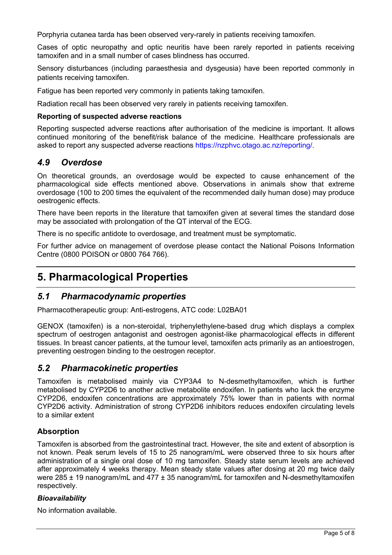Porphyria cutanea tarda has been observed very-rarely in patients receiving tamoxifen.

Cases of optic neuropathy and optic neuritis have been rarely reported in patients receiving tamoxifen and in a small number of cases blindness has occurred.

Sensory disturbances (including paraesthesia and dysgeusia) have been reported commonly in patients receiving tamoxifen.

Fatigue has been reported very commonly in patients taking tamoxifen.

Radiation recall has been observed very rarely in patients receiving tamoxifen.

#### **Reporting of suspected adverse reactions**

Reporting suspected adverse reactions after authorisation of the medicine is important. It allows continued monitoring of the benefit/risk balance of the medicine. Healthcare professionals are asked to report any suspected adverse reactions https://nzphvc.otago.ac.nz/reporting/.

## *4.9 Overdose*

On theoretical grounds, an overdosage would be expected to cause enhancement of the pharmacological side effects mentioned above. Observations in animals show that extreme overdosage (100 to 200 times the equivalent of the recommended daily human dose) may produce oestrogenic effects.

There have been reports in the literature that tamoxifen given at several times the standard dose may be associated with prolongation of the QT interval of the ECG.

There is no specific antidote to overdosage, and treatment must be symptomatic.

For further advice on management of overdose please contact the National Poisons Information Centre (0800 POISON or 0800 764 766).

# **5. Pharmacological Properties**

## *5.1 Pharmacodynamic properties*

Pharmacotherapeutic group: Anti-estrogens, ATC code: L02BA01

GENOX (tamoxifen) is a non-steroidal, triphenylethylene-based drug which displays a complex spectrum of oestrogen antagonist and oestrogen agonist-like pharmacological effects in different tissues. In breast cancer patients, at the tumour level, tamoxifen acts primarily as an antioestrogen, preventing oestrogen binding to the oestrogen receptor.

## *5.2 Pharmacokinetic properties*

Tamoxifen is metabolised mainly via CYP3A4 to N-desmethyltamoxifen, which is further metabolised by CYP2D6 to another active metabolite endoxifen. In patients who lack the enzyme CYP2D6, endoxifen concentrations are approximately 75% lower than in patients with normal CYP2D6 activity. Administration of strong CYP2D6 inhibitors reduces endoxifen circulating levels to a similar extent

### **Absorption**

Tamoxifen is absorbed from the gastrointestinal tract. However, the site and extent of absorption is not known. Peak serum levels of 15 to 25 nanogram/mL were observed three to six hours after administration of a single oral dose of 10 mg tamoxifen. Steady state serum levels are achieved after approximately 4 weeks therapy. Mean steady state values after dosing at 20 mg twice daily were 285 ± 19 nanogram/mL and 477 ± 35 nanogram/mL for tamoxifen and N-desmethyltamoxifen respectively.

#### *Bioavailability*

No information available.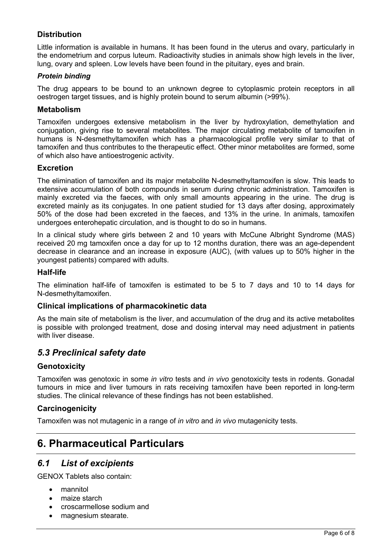## **Distribution**

Little information is available in humans. It has been found in the uterus and ovary, particularly in the endometrium and corpus luteum. Radioactivity studies in animals show high levels in the liver, lung, ovary and spleen. Low levels have been found in the pituitary, eyes and brain.

#### *Protein binding*

The drug appears to be bound to an unknown degree to cytoplasmic protein receptors in all oestrogen target tissues, and is highly protein bound to serum albumin (>99%).

#### **Metabolism**

Tamoxifen undergoes extensive metabolism in the liver by hydroxylation, demethylation and conjugation, giving rise to several metabolites. The major circulating metabolite of tamoxifen in humans is N-desmethyltamoxifen which has a pharmacological profile very similar to that of tamoxifen and thus contributes to the therapeutic effect. Other minor metabolites are formed, some of which also have antioestrogenic activity.

### **Excretion**

The elimination of tamoxifen and its major metabolite N-desmethyltamoxifen is slow. This leads to extensive accumulation of both compounds in serum during chronic administration. Tamoxifen is mainly excreted via the faeces, with only small amounts appearing in the urine. The drug is excreted mainly as its conjugates. In one patient studied for 13 days after dosing, approximately 50% of the dose had been excreted in the faeces, and 13% in the urine. In animals, tamoxifen undergoes enterohepatic circulation, and is thought to do so in humans.

In a clinical study where girls between 2 and 10 years with McCune Albright Syndrome (MAS) received 20 mg tamoxifen once a day for up to 12 months duration, there was an age-dependent decrease in clearance and an increase in exposure (AUC), (with values up to 50% higher in the youngest patients) compared with adults.

#### **Half-life**

The elimination half-life of tamoxifen is estimated to be 5 to 7 days and 10 to 14 days for N-desmethyltamoxifen.

#### **Clinical implications of pharmacokinetic data**

As the main site of metabolism is the liver, and accumulation of the drug and its active metabolites is possible with prolonged treatment, dose and dosing interval may need adjustment in patients with liver disease.

# *5.3 Preclinical safety date*

### **Genotoxicity**

Tamoxifen was genotoxic in some *in vitro* tests and *in vivo* genotoxicity tests in rodents. Gonadal tumours in mice and liver tumours in rats receiving tamoxifen have been reported in long-term studies. The clinical relevance of these findings has not been established.

### **Carcinogenicity**

Tamoxifen was not mutagenic in a range of *in vitro* and *in vivo* mutagenicity tests.

# **6. Pharmaceutical Particulars**

## *6.1 List of excipients*

GENOX Tablets also contain:

- mannitol
- maize starch
- croscarmellose sodium and
- magnesium stearate.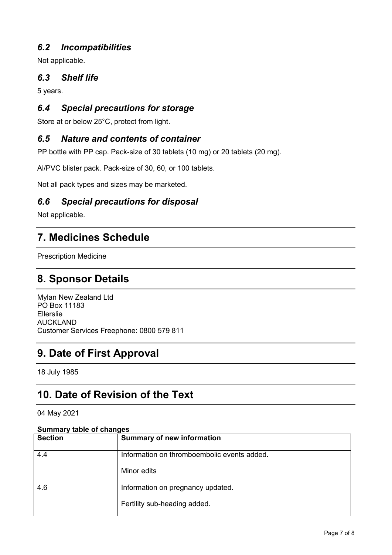# *6.2 Incompatibilities*

Not applicable.

# *6.3 Shelf life*

5 years.

# *6.4 Special precautions for storage*

Store at or below 25°C, protect from light.

# *6.5 Nature and contents of container*

PP bottle with PP cap. Pack-size of 30 tablets (10 mg) or 20 tablets (20 mg).

Al/PVC blister pack. Pack-size of 30, 60, or 100 tablets.

Not all pack types and sizes may be marketed.

# *6.6 Special precautions for disposal*

Not applicable.

# **7. Medicines Schedule**

Prescription Medicine

# **8. Sponsor Details**

Mylan New Zealand Ltd PO Box 11183 Ellerslie AUCKLAND Customer Services Freephone: 0800 579 811

# **9. Date of First Approval**

18 July 1985

# **10. Date of Revision of the Text**

04 May 2021

#### **Summary table of changes**

| <b>Section</b> | <b>Summary of new information</b>           |
|----------------|---------------------------------------------|
| 4.4            | Information on thromboembolic events added. |
|                | Minor edits                                 |
| 4.6            | Information on pregnancy updated.           |
|                | Fertility sub-heading added.                |